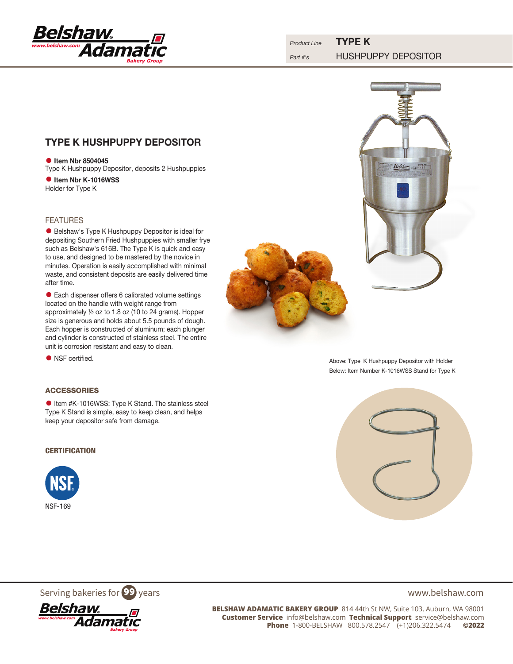

# TYPE K HUSHPUPPY DEPOSITOR

**•** Item Nbr 8504045 Type K Hushpuppy Depositor, deposits 2 Hushpuppies

**•** Item Nbr K-1016WSS Holder for Type K

# FEATURES

• Belshaw's Type K Hushpuppy Depositor is ideal for depositing Southern Fried Hushpuppies with smaller frye such as Belshaw's 616B. The Type K is quick and easy to use, and designed to be mastered by the novice in minutes. Operation is easily accomplished with minimal waste, and consistent deposits are easily delivered time after time.

• Each dispenser offers 6 calibrated volume settings located on the handle with weight range from approximately ½ oz to 1.8 oz (10 to 24 grams). Hopper size is generous and holds about 5.5 pounds of dough. Each hopper is constructed of aluminum; each plunger and cylinder is constructed of stainless steel. The entire unit is corrosion resistant and easy to clean.

• NSF certified.

# ACCESSORIES

**•** Item #K-1016WSS: Type K Stand. The stainless steel Type K Stand is simple, easy to keep clean, and helps keep your depositor safe from damage.

# **CERTIFICATION**





Above: Type K Hushpuppy Depositor with Holder Below: Item Number K-1016WSS Stand for Type K



Serving bakeries for  $99$  years www.belshaw.com



**BELSHAW ADAMATIC BAKERY GROUP** 814 44th St NW, Suite 103, Auburn, WA 98001 **Customer Service** info@belshaw.com **Technical Support** service@belshaw.com **Phone** 1-800-BELSHAW 800.578.2547 (+1)206.322.5474 **©2022**